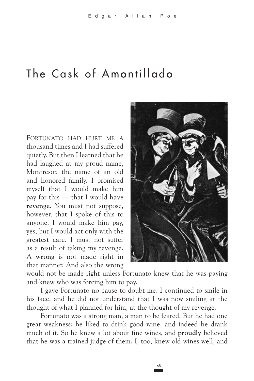## The Cask of Amontillado

FORTUNATO HAD HURT ME A thousand times and I had suffered quietly. But then I learned that he had laughed at my proud name, Montresor, the name of an old and honored family. I promised myself that I would make him pay for this - that I would have revenge. You must not suppose, however, that I spoke of this to anyone. I would make him pay, yes; but I would act only with the greatest care. I must not suffer as a result of taking my revenge. A wrong is not made right in that manner. And also the wrong



would not be made right unless Fortunato knew that he was paying and knew who was forcing him to pay.

I gave Fortunato no cause to doubt me. I continued to smile in his face, and he did not understand that I was now smiling at the thought of what I planned for him, at the thought of my revenge.

Fortunato was a strong man, a man to be feared. But he had one great weakness: he liked to drink good wine, and indeed he drank much of it. So he knew a lot about fine wines, and **proudly** believed that he was a trained judge of them. I, too, knew old wines well, and

68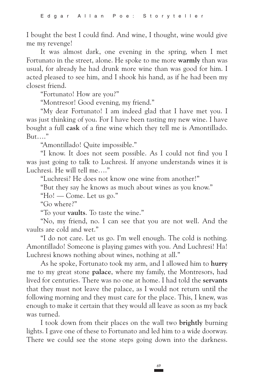I bought the best I could find. And wine, I thought, wine would give me my revenge!

It was almost dark, one evening in the spring, when I met Fortunato in the street, alone. He spoke to me more **warmly** than was usual, for already he had drunk more wine than was good for him. I acted pleased to see him, and I shook his hand, as if he had been my closest friend.

"Fortunato! How are you?"

"Montresor! Good evening, my friend."

"My dear Fortunato! I am indeed glad that I have met you. I was just thinking of you. For I have been tasting my new wine. I have bought a full **cask** of a fine wine which they tell me is Amontillado. But…."

"Amontillado! Quite impossible."

"I know. It does not seem possible. As I could not find you I was just going to talk to Luchresi. If anyone understands wines it is Luchresi. He will tell me…."

"Luchresi? He does not know one wine from another!"

"But they say he knows as much about wines as you know."

"Ho! — Come. Let us go."

"Go where?"

"To your **vaults**. To taste the wine."

"No, my friend, no. I can see that you are not well. And the vaults are cold and wet."

"I do not care. Let us go. I'm well enough. The cold is nothing. Amontillado! Someone is playing games with you. And Luchresi! Ha! Luchresi knows nothing about wines, nothing at all."

As he spoke, Fortunato took my arm, and I allowed him to **hurry**  me to my great stone **palace**, where my family, the Montresors, had lived for centuries. There was no one at home. I had told the **servants**  that they must not leave the palace, as I would not return until the following morning and they must care for the place. This, I knew, was enough to make it certain that they would all leave as soon as my back was turned.

I took down from their places on the wall two **brightly** burning lights. I gave one of these to Fortunato and led him to a wide doorway. There we could see the stone steps going down into the darkness.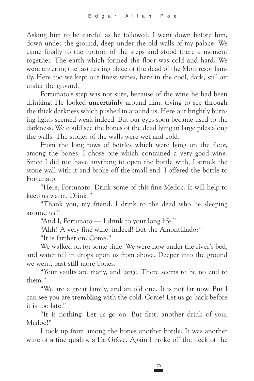Asking him to be careful as he followed, I went down before him, down under the ground, deep under the old walls of my palace. We came finally to the bottom of the steps and stood there a moment together. The earth which formed the floor was cold and hard. We were entering the last resting place of the dead of the Montresor family. Here too we kept our finest wines, here in the cool, dark, still air under the ground.

Fortunato's step was not sure, because of the wine he had been drinking. He looked **uncertainly** around him, trying to see through the thick darkness which pushed in around us. Here our brightly burning lights seemed weak indeed. But our eyes soon became used to the darkness. We could see the bones of the dead lying in large piles along the walls. The stones of the walls were wet and cold.

From the long rows of bottles which were lying on the floor, among the bones, I chose one which contained a very good wine. Since I did not have anything to open the bottle with, I struck the stone wall with it and broke off the small end. I offered the bottle to Fortunato.

"Here, Fortunato. Drink some of this fine Medoc. It will help to keep us warm. Drink!"

"Thank you, my friend. I drink to the dead who lie sleeping around us."

"And I, Fortunato — I drink to your long life."

"Ahh! A very fine wine, indeed! But the Amontillado?"

"It is farther on. Come."

We walked on for some time. We were now under the river's bed, and water fell in drops upon us from above. Deeper into the ground we went, past still more bones.

"Your vaults are many, and large. There seems to be no end to them."

"We are a great family, and an old one. It is not far now. But I can see you are **trembling** with the cold. Come! Let us go back before it is too late."

"It is nothing. Let us go on. But first, another drink of your Medoc!"

I took up from among the bones another bottle. It was another wine of a fine quality, a De Grâve. Again I broke off the neck of the

70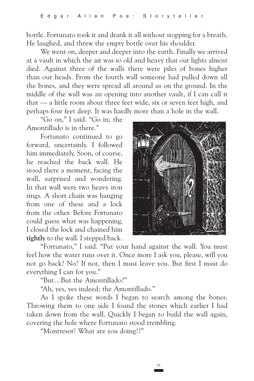bottle. Fortunato took it and drank it all without stopping for a breath. He laughed, and threw the empty bottle over his shoulder.

We went on, deeper and deeper into the earth. Finally we arrived at a vault in which the air was so old and heavy that our lights almost died. Against three of the walls there were piles of bones higher than our heads. From the fourth wall someone had pulled down all the bones, and they were spread all around us on the ground. In the middle of the wall was an opening into another vault, if I can call it that — a little room about three feet wide, six or seven feet high, and perhaps four feet deep. It was hardly more than a hole in the wall.

"Go on," I said. "Go in; the Amontillado is in there."

Fortunato continued to go forward, uncertainly. I followed him immediately. Soon, of course, he reached the back wall. He stood there a moment, facing the wall, surprised and wondering. In that wall were two heavy iron rings. A short chain was hanging from one of these and a lock from the other. Before Fortunato could guess what was happening, I closed the lock and chained him **tightly** to the wall. I stepped back.



"Fortunato," I said. "Put your hand against the wall. You must feel how the water runs over it. Once more I ask you, please, will you not go back? No? If not, then I must leave you. But first I must do everything I can for you."

"But…But the Amontillado?"

"Ah, yes, yes indeed; the Amontillado."

As I spoke these words I began to search among the bones. Throwing them to one side I found the stones which earlier I had taken down from the wall. Quickly I began to build the wall again, covering the hole where Fortunato stood trembling.

"Montresor! What are you doing!?"